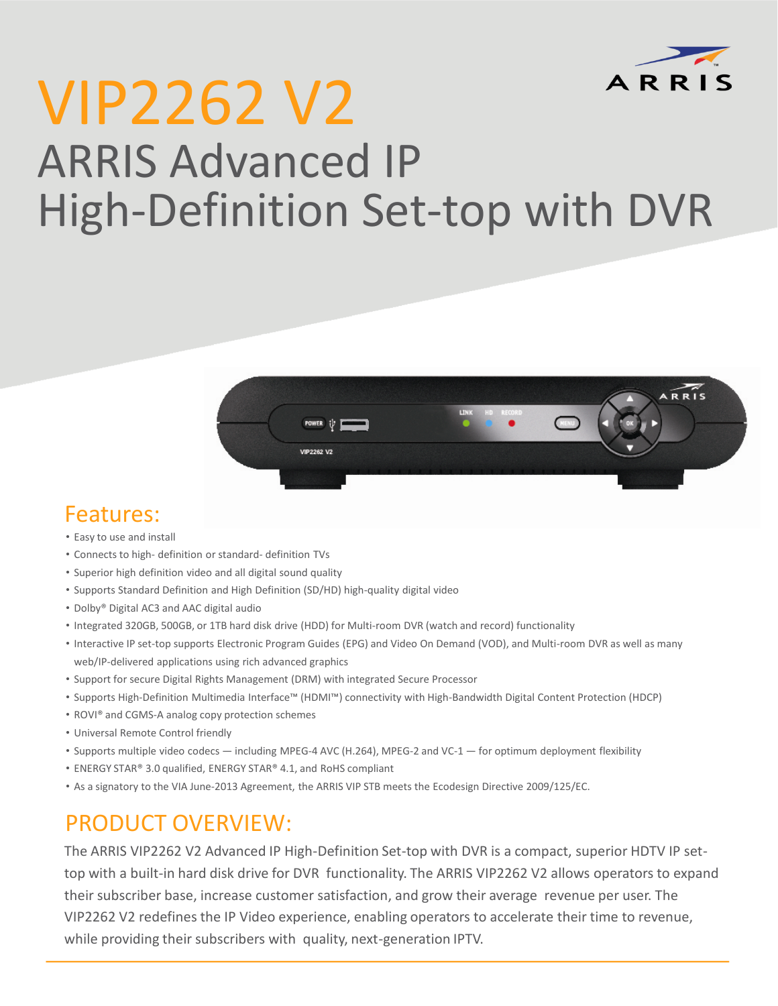

# VIP2262 V2 ARRIS Advanced IP High-Definition Set-top with DVR



### Features:

- Easy to use and install
- Connects to high- definition or standard- definition TVs
- Superior high definition video and all digital sound quality
- Supports Standard Definition and High Definition (SD/HD) high-quality digital video
- Dolby® Digital AC3 and AAC digital audio
- Integrated 320GB, 500GB, or 1TB hard disk drive (HDD) for Multi-room DVR (watch and record) functionality
- Interactive IP set-top supports Electronic Program Guides (EPG) and Video On Demand (VOD), and Multi-room DVR as well as many web/IP-delivered applications using rich advanced graphics
- Support for secure Digital Rights Management (DRM) with integrated Secure Processor
- Supports High-Definition Multimedia Interface™ (HDMI™) connectivity with High-Bandwidth Digital Content Protection (HDCP)
- ROVI® and CGMS-A analog copy protection schemes
- Universal Remote Control friendly
- Supports multiple video codecs including MPEG-4 AVC (H.264), MPEG-2 and VC-1 for optimum deployment flexibility
- ENERGY STAR® 3.0 qualified, ENERGY STAR® 4.1, and RoHS compliant
- As a signatory to the VIA June-2013 Agreement, the ARRIS VIP STB meets the Ecodesign Directive 2009/125/EC.

## PRODUCT OVERVIEW:

The ARRIS VIP2262 V2 Advanced IP High-Definition Set-top with DVR is a compact, superior HDTV IP settop with a built-in hard disk drive for DVR functionality. The ARRIS VIP2262 V2 allows operators to expand their subscriber base, increase customer satisfaction, and grow their average revenue per user. The VIP2262 V2 redefines the IP Video experience, enabling operators to accelerate their time to revenue, while providing their subscribers with quality, next-generation IPTV.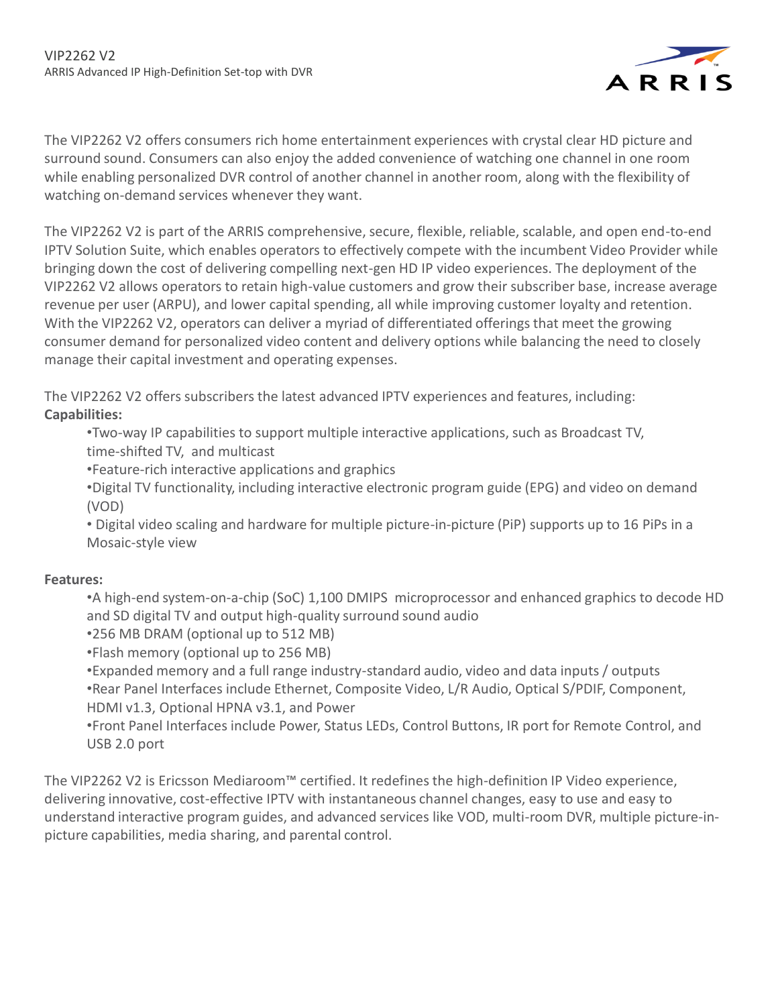

The VIP2262 V2 offers consumers rich home entertainment experiences with crystal clear HD picture and surround sound. Consumers can also enjoy the added convenience of watching one channel in one room while enabling personalized DVR control of another channel in another room, along with the flexibility of watching on-demand services whenever they want.

The VIP2262 V2 is part of the ARRIS comprehensive, secure, flexible, reliable, scalable, and open end-to-end IPTV Solution Suite, which enables operators to effectively compete with the incumbent Video Provider while bringing down the cost of delivering compelling next-gen HD IP video experiences. The deployment of the VIP2262 V2 allows operators to retain high-value customers and grow their subscriber base, increase average revenue per user (ARPU), and lower capital spending, all while improving customer loyalty and retention. With the VIP2262 V2, operators can deliver a myriad of differentiated offerings that meet the growing consumer demand for personalized video content and delivery options while balancing the need to closely manage their capital investment and operating expenses.

The VIP2262 V2 offers subscribers the latest advanced IPTV experiences and features, including: **Capabilities:**

•Two-way IP capabilities to support multiple interactive applications, such as Broadcast TV, time-shifted TV, and multicast

•Feature-rich interactive applications and graphics

•Digital TV functionality, including interactive electronic program guide (EPG) and video on demand (VOD)

• Digital video scaling and hardware for multiple picture-in-picture (PiP) supports up to 16 PiPs in a Mosaic-style view

#### **Features:**

•A high-end system-on-a-chip (SoC) 1,100 DMIPS microprocessor and enhanced graphics to decode HD and SD digital TV and output high-quality surround sound audio

•256 MB DRAM (optional up to 512 MB)

•Flash memory (optional up to 256 MB)

•Expanded memory and a full range industry-standard audio, video and data inputs / outputs •Rear Panel Interfaces include Ethernet, Composite Video, L/R Audio, Optical S/PDIF, Component, HDMI v1.3, Optional HPNA v3.1, and Power

•Front Panel Interfaces include Power, Status LEDs, Control Buttons, IR port for Remote Control, and USB 2.0 port

The VIP2262 V2 is Ericsson Mediaroom™ certified. It redefines the high-definition IP Video experience, delivering innovative, cost-effective IPTV with instantaneous channel changes, easy to use and easy to understand interactive program guides, and advanced services like VOD, multi-room DVR, multiple picture-inpicture capabilities, media sharing, and parental control.